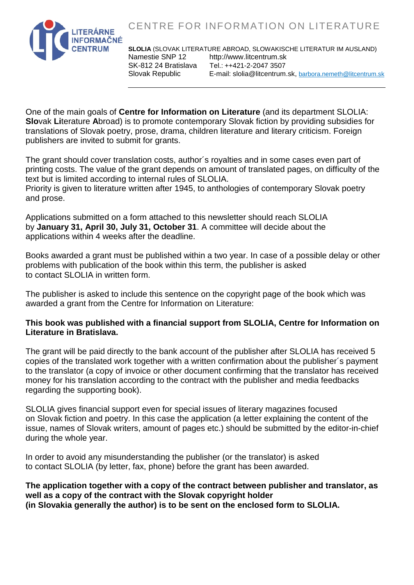CENTRE FOR INFORMATION ON LITERATURE



**SLOLIA** (SLOVAK LITERATURE ABROAD, SLOWAKISCHE LITERATUR IM AUSLAND) Namestie SNP 12 http://www.litcentrum.sk<br>SK-812 24 Bratislava Tel.: ++421-2-2047 3507 Tel.: ++421-2-2047 3507 Slovak Republic E-mail: slolia@litcentrum.sk, [barbora.nemeth@litcentrum.sk](mailto:barbora.nemeth@litcentrum.sk)

One of the main goals of **Centre for Information on Literature** (and its department SLOLIA: **Slo**vak **Li**terature **A**broad) is to promote contemporary Slovak fiction by providing subsidies for translations of Slovak poetry, prose, drama, children literature and literary criticism. Foreign publishers are invited to submit for grants.

The grant should cover translation costs, author´s royalties and in some cases even part of printing costs. The value of the grant depends on amount of translated pages, on difficulty of the text but is limited according to internal rules of SLOLIA.

Priority is given to literature written after 1945, to anthologies of contemporary Slovak poetry and prose.

Applications submitted on a form attached to this newsletter should reach SLOLIA by **January 31, April 30, July 31, October 31**. A committee will decide about the applications within 4 weeks after the deadline.

Books awarded a grant must be published within a two year. In case of a possible delay or other problems with publication of the book within this term, the publisher is asked to contact SLOLIA in written form.

The publisher is asked to include this sentence on the copyright page of the book which was awarded a grant from the Centre for Information on Literature:

## **This book was published with a financial support from SLOLIA, Centre for Information on Literature in Bratislava.**

The grant will be paid directly to the bank account of the publisher after SLOLIA has received 5 copies of the translated work together with a written confirmation about the publisher´s payment to the translator (a copy of invoice or other document confirming that the translator has received money for his translation according to the contract with the publisher and media feedbacks regarding the supporting book).

SLOLIA gives financial support even for special issues of literary magazines focused on Slovak fiction and poetry. In this case the application (a letter explaining the content of the issue, names of Slovak writers, amount of pages etc.) should be submitted by the editor-in-chief during the whole year.

In order to avoid any misunderstanding the publisher (or the translator) is asked to contact SLOLIA (by letter, fax, phone) before the grant has been awarded.

**The application together with a copy of the contract between publisher and translator, as well as a copy of the contract with the Slovak copyright holder (in Slovakia generally the author) is to be sent on the enclosed form to SLOLIA.**